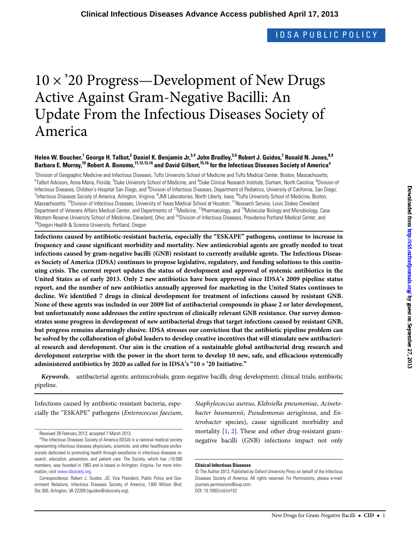## IDSA PUBLIC POLICY

# $10 \times 20$  Progress—Development of New Drugs Active Against Gram-Negative Bacilli: An Update From the Infectious Diseases Society of America

## Helen W. Boucher,<sup>1</sup> George H. Talbot,<sup>2</sup> Daniel K. Benjamin Jr,<sup>3,4</sup> John Bradley,<sup>5,6</sup> Robert J. Guidos,<sup>7</sup> Ronald N. Jones,<sup>8,9</sup> Barbara E. Murray,<sup>10</sup> Robert A. Bonomo,<sup>11,12,13,14</sup> and David Gilbert,<sup>15,16</sup> for the Infectious Diseases Society of America<sup>a</sup>

<sup>1</sup> Division of Geographic Medicine and Infectious Diseases, Tufts University School of Medicine and Tufts Medical Center, Boston, Massachusetts; <sup>2</sup>Talbot Advisors, Anna Maria, Florida; <sup>3</sup>Duke University School of Medicine, and <sup>4</sup>Duke Clinical Research Institute, Durham, North Carolina; <sup>5</sup>Division of Infectious Diseases, Children's Hospital San Diego, and <sup>6</sup>Division of Infectious Diseases, Department of Pediatrics, University of California, San Diego; <sup>7</sup>Infectious Diseases Society of America, Arlington, Virginia; <sup>8</sup>JMI Laboratories, North Liberty, Iowa; <sup>9</sup>Tufts University School of Medicine, Boston, Massachusetts; <sup>10</sup>Division of Infectious Diseases, University of Texas Medical School at Houston; <sup>11</sup>Research Service, Louis Stokes Cleveland Department of Veterans Affairs Medical Center, and Departments of <sup>12</sup>Medicine, <sup>13</sup>Pharmacology, and <sup>14</sup>Molecular Biology and Microbiology, Case Western Reserve University School of Medicine, Cleveland, Ohio; and <sup>15</sup>Division of Infectious Diseases, Providence Portland Medical Center, and 16 Oregon Health & Science University, Portland, Oregon

Infections caused by antibiotic-resistant bacteria, especially the "ESKAPE" pathogens, continue to increase in frequency and cause significant morbidity and mortality. New antimicrobial agents are greatly needed to treat infections caused by gram-negative bacilli (GNB) resistant to currently available agents. The Infectious Diseases Society of America (IDSA) continues to propose legislative, regulatory, and funding solutions to this continuing crisis. The current report updates the status of development and approval of systemic antibiotics in the United States as of early 2013. Only 2 new antibiotics have been approved since IDSA's 2009 pipeline status report, and the number of new antibiotics annually approved for marketing in the United States continues to decline. We identified 7 drugs in clinical development for treatment of infections caused by resistant GNB. None of these agents was included in our 2009 list of antibacterial compounds in phase 2 or later development, but unfortunately none addresses the entire spectrum of clinically relevant GNB resistance. Our survey demonstrates some progress in development of new antibacterial drugs that target infections caused by resistant GNB, but progress remains alarmingly elusive. IDSA stresses our conviction that the antibiotic pipeline problem can be solved by the collaboration of global leaders to develop creative incentives that will stimulate new antibacterial research and development. Our aim is the creation of a sustainable global antibacterial drug research and development enterprise with the power in the short term to develop 10 new, safe, and efficacious systemically administered antibiotics by 2020 as called for in IDSA's "10 × '20 Initiative."

Keywords. antibacterial agents; antimicrobials; gram-negative bacilli; drug development; clinical trials; antibiotic pipeline.

Infections caused by antibiotic-resistant bacteria, especially the "ESKAPE" pathogens (Enterococcus faecium, Staphylococcus aureus, Klebsiella pneumoniae, Acinetobacter baumannii, Pseudomonas aeruginosa, and Enterobacter species), cause significant morbidity and mortality [[1](#page-7-0), [2](#page-7-0)]. These and other drug-resistant gramnegative bacilli (GNB) infections impact not only

#### Clinical Infectious Diseases

© The Author 2013. Published by Oxford University Press on behalf of the Infectious Diseases Society of America. All rights reserved. For Permissions, please e-mail: [journals.permissions@oup.com](mailto:journals.permissions@oup.com). DOI: 10.1093/cid/cit152

Received 28 February 2013; accepted 1 March 2013.

<sup>&</sup>lt;sup>a</sup>The Infectious Diseases Society of America (IDSA) is a national medical society representing infectious diseases physicians, scientists, and other healthcare professionals dedicated to promoting health through excellence in infectious diseases research, education, prevention, and patient care. The Society, which has >10 000 members, was founded in 1963 and is based in Arlington, Virginia. For more information, visit <www.idsociety.org>.

Correspondence: Robert J. Guidos, JD, Vice President, Public Policy and Government Relations, Infectious Diseases Society of America, 1300 Wilson Blvd, Ste 300, Arlington, VA 22209 [\(rguidos@idsociety.org\)](mailto:rguidos@idsociety.org).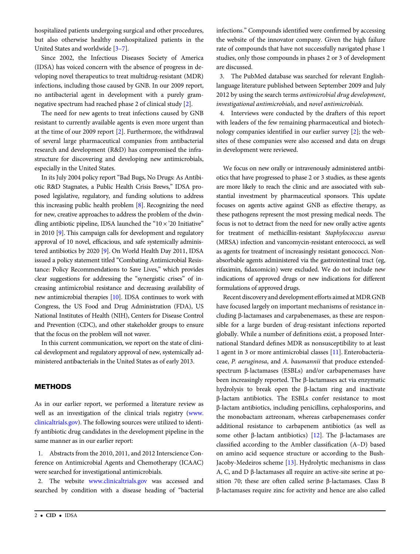hospitalized patients undergoing surgical and other procedures, but also otherwise healthy nonhospitalized patients in the United States and worldwide [\[3](#page-7-0)–[7\]](#page-7-0).

Since 2002, the Infectious Diseases Society of America (IDSA) has voiced concern with the absence of progress in developing novel therapeutics to treat multidrug-resistant (MDR) infections, including those caused by GNB. In our 2009 report, no antibacterial agent in development with a purely gramnegative spectrum had reached phase 2 of clinical study [[2](#page-7-0)].

The need for new agents to treat infections caused by GNB resistant to currently available agents is even more urgent than at the time of our 2009 report [\[2\]](#page-7-0). Furthermore, the withdrawal of several large pharmaceutical companies from antibacterial research and development (R&D) has compromised the infrastructure for discovering and developing new antimicrobials, especially in the United States.

In its July 2004 policy report "Bad Bugs, No Drugs: As Antibiotic R&D Stagnates, a Public Health Crisis Brews," IDSA proposed legislative, regulatory, and funding solutions to address this increasing public health problem [\[8\]](#page-7-0). Recognizing the need for new, creative approaches to address the problem of the dwindling antibiotic pipeline, IDSA launched the " $10 \times 20$  Initiative" in 2010 [[9\]](#page-7-0). This campaign calls for development and regulatory approval of 10 novel, efficacious, and safe systemically administered antibiotics by 2020 [\[9\]](#page-7-0). On World Health Day 2011, IDSA issued a policy statement titled "Combating Antimicrobial Resistance: Policy Recommendations to Save Lives," which provides clear suggestions for addressing the "synergistic crises" of increasing antimicrobial resistance and decreasing availability of new antimicrobial therapies [\[10\]](#page-7-0). IDSA continues to work with Congress, the US Food and Drug Administration (FDA), US National Institutes of Health (NIH), Centers for Disease Control and Prevention (CDC), and other stakeholder groups to ensure that the focus on the problem will not waver.

In this current communication, we report on the state of clinical development and regulatory approval of new, systemically administered antibacterials in the United States as of early 2013.

## METHODS

As in our earlier report, we performed a literature review as well as an investigation of the clinical trials registry ([www.](www.clinicaltrials.gov) [clinicaltrials.gov](www.clinicaltrials.gov)). The following sources were utilized to identify antibiotic drug candidates in the development pipeline in the same manner as in our earlier report:

1. Abstracts from the 2010, 2011, and 2012 Interscience Conference on Antimicrobial Agents and Chemotherapy (ICAAC) were searched for investigational antimicrobials.

2. The website [www.clinicaltrials.gov](www.thrasherresearch.org) was accessed and searched by condition with a disease heading of "bacterial infections." Compounds identified were confirmed by accessing the website of the innovator company. Given the high failure rate of compounds that have not successfully navigated phase 1 studies, only those compounds in phases 2 or 3 of development are discussed.

3. The PubMed database was searched for relevant Englishlanguage literature published between September 2009 and July 2012 by using the search terms antimicrobial drug development, investigational antimicrobials, and novel antimicrobials.

4. Interviews were conducted by the drafters of this report with leaders of the few remaining pharmaceutical and biotechnology companies identified in our earlier survey [\[2\]](#page-7-0); the websites of these companies were also accessed and data on drugs in development were reviewed.

We focus on new orally or intravenously administered antibiotics that have progressed to phase 2 or 3 studies, as these agents are more likely to reach the clinic and are associated with substantial investment by pharmaceutical sponsors. This update focuses on agents active against GNB as effective therapy, as these pathogens represent the most pressing medical needs. The focus is not to detract from the need for new orally active agents for treatment of methicillin-resistant Staphylococcus aureus (MRSA) infection and vancomycin-resistant enterococci, as well as agents for treatment of increasingly resistant gonococci. Nonabsorbable agents administered via the gastrointestinal tract (eg, rifaximin, fidaxomicin) were excluded. We do not include new indications of approved drugs or new indications for different formulations of approved drugs.

Recent discovery and development efforts aimed at MDR GNB have focused largely on important mechanisms of resistance including β-lactamases and carpabenemases, as these are responsible for a large burden of drug-resistant infections reported globally. While a number of definitions exist, a proposed International Standard defines MDR as nonsusceptibility to at least 1 agent in 3 or more antimicrobial classes [\[11](#page-7-0)]. Enterobacteriaceae, P. aeruginosa, and A. baumannii that produce extendedspectrum β-lactamases (ESBLs) and/or carbapenemases have been increasingly reported. The β-lactamases act via enzymatic hydrolysis to break open the β-lactam ring and inactivate β-lactam antibiotics. The ESBLs confer resistance to most β-lactam antibiotics, including penicillins, cephalosporins, and the monobactam aztreonam, whereas carbapenemases confer additional resistance to carbapenem antibiotics (as well as some other β-lactam antibiotics) [\[12](#page-7-0)]. The β-lactamases are classified according to the Ambler classification (A–D) based on amino acid sequence structure or according to the Bush-Jacoby-Medeiros scheme [[13\]](#page-7-0). Hydrolytic mechanisms in class A, C, and D β-lactamases all require an active-site serine at position 70; these are often called serine β-lactamases. Class B β-lactamases require zinc for activity and hence are also called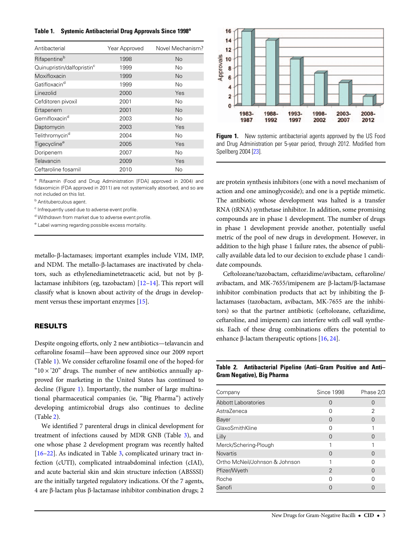#### Table 1. Systemic Antibacterial Drug Approvals Since 1998<sup>a</sup>

| Antibacterial                          | Year Approved | Novel Mechanism? |  |  |  |
|----------------------------------------|---------------|------------------|--|--|--|
| Rifapentine <sup>b</sup>               | 1998          | <b>No</b>        |  |  |  |
| Quinupristin/dalfopristin <sup>c</sup> | 1999          | No               |  |  |  |
| Moxifloxacin                           | 1999          | <b>No</b>        |  |  |  |
| Gatifloxacin <sup>d</sup>              | 1999          | No               |  |  |  |
| Linezolid                              | 2000          | Yes              |  |  |  |
| Cefditoren pivoxil                     | 2001          | No               |  |  |  |
| Ertapenem                              | 2001          | <b>No</b>        |  |  |  |
| Gemifloxacin <sup>d</sup>              | 2003          | No               |  |  |  |
| Daptomycin                             | 2003          | Yes              |  |  |  |
| Telithromycin <sup>d</sup>             | 2004          | No               |  |  |  |
| Tigecycline <sup>e</sup>               | 2005          | Yes              |  |  |  |
| Doripenem                              | 2007          | No               |  |  |  |
| Telavancin                             | 2009          | Yes              |  |  |  |
| Ceftaroline fosamil                    | 2010          | No               |  |  |  |

Rifaxamin (Food and Drug Administration [FDA] approved in 2004) and fidaxomicin (FDA approved in 2011) are not systemically absorbed, and so are not included on this list.

**b** Antituberculous agent.

<sup>c</sup> Infrequently used due to adverse event profile.

<sup>d</sup> Withdrawn from market due to adverse event profile.

<sup>e</sup> Label warning regarding possible excess mortality.

metallo-β-lactamases; important examples include VIM, IMP, and NDM. The metallo-β-lactamases are inactivated by chelators, such as ethylenediaminetetraacetic acid, but not by βlactamase inhibitors (eg, tazobactam) [[12](#page-7-0)–[14\]](#page-7-0). This report will classify what is known about activity of the drugs in develop-ment versus these important enzymes [\[15\]](#page-7-0).

#### RESULTS

Despite ongoing efforts, only 2 new antibiotics—telavancin and ceftaroline fosamil—have been approved since our 2009 report (Table 1). We consider ceftaroline fosamil one of the hoped-for " $10 \times 20$ " drugs. The number of new antibiotics annually approved for marketing in the United States has continued to decline (Figure 1). Importantly, the number of large multinational pharmaceutical companies (ie, "Big Pharma") actively developing antimicrobial drugs also continues to decline (Table 2).

We identified 7 parenteral drugs in clinical development for treatment of infections caused by MDR GNB (Table [3](#page-3-0)), and one whose phase 2 development program was recently halted [\[16](#page-7-0)–[22](#page-7-0)]. As indicated in Table [3](#page-3-0), complicated urinary tract infection (cUTI), complicated intraabdominal infection (cIAI), and acute bacterial skin and skin structure infection (ABSSSI) are the initially targeted regulatory indications. Of the 7 agents, 4 are β-lactam plus β-lactamase inhibitor combination drugs; 2



**Figure 1.** New systemic antibacterial agents approved by the US Food and Drug Administration per 5-year period, through 2012. Modified from Spellberg 2004 [\[23](#page-7-0)].

are protein synthesis inhibitors (one with a novel mechanism of action and one aminoglycoside); and one is a peptide mimetic. The antibiotic whose development was halted is a transfer RNA (tRNA) synthetase inhibitor. In addition, some promising compounds are in phase 1 development. The number of drugs in phase 1 development provide another, potentially useful metric of the pool of new drugs in development. However, in addition to the high phase 1 failure rates, the absence of publically available data led to our decision to exclude phase 1 candidate compounds.

Ceftolozane/tazobactam, ceftazidime/avibactam, ceftaroline/ avibactam, and MK-7655/imipenem are β-lactam/β-lactamase inhibitor combination products that act by inhibiting the βlactamases (tazobactam, avibactam, MK-7655 are the inhibitors) so that the partner antibiotic (ceftolozane, ceftazidime, ceftaroline, and imipenem) can interfere with cell wall synthesis. Each of these drug combinations offers the potential to enhance β-lactam therapeutic options [\[16,](#page-7-0) [24](#page-7-0)].

Table 2. Antibacterial Pipeline (Anti–Gram Positive and Anti– Gram Negative), Big Pharma

| Company                        | <b>Since 1998</b> | Phase 2/3 |  |
|--------------------------------|-------------------|-----------|--|
| <b>Abbott Laboratories</b>     | 0                 | O         |  |
| AstraZeneca                    | U                 | 2         |  |
| Bayer                          | $\Omega$          | $\Omega$  |  |
| GlaxoSmithKline                | U                 |           |  |
| Lilly                          | $\Omega$          | $\Omega$  |  |
| Merck/Schering-Plough          |                   |           |  |
| <b>Novartis</b>                | O                 | $\Omega$  |  |
| Ortho McNeil/Johnson & Johnson | 1                 | ∩         |  |
| Pfizer/Wyeth                   | $\overline{2}$    | O         |  |
| Roche                          | U                 | ∩         |  |
| Sanofi                         | 0                 | ( )       |  |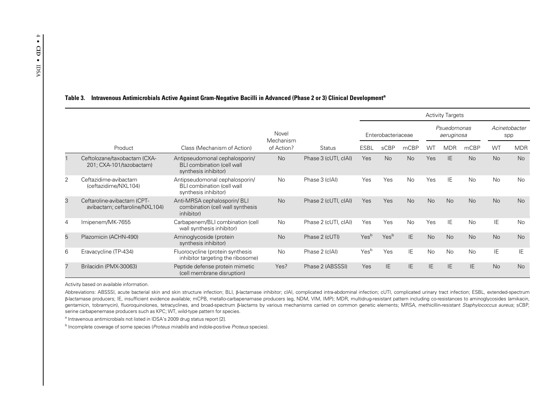|   |                                                               |                                                                                             |                    | <b>Activity Targets</b> |                    |                  |           |                           |            |           |                      |            |
|---|---------------------------------------------------------------|---------------------------------------------------------------------------------------------|--------------------|-------------------------|--------------------|------------------|-----------|---------------------------|------------|-----------|----------------------|------------|
|   |                                                               |                                                                                             | Novel<br>Mechanism |                         | Enterobacteriaceae |                  |           | Psuedomonas<br>aeruginosa |            |           | Acinetobacter<br>spp |            |
|   | Product                                                       | Class (Mechanism of Action)                                                                 | of Action?         | <b>Status</b>           | <b>ESBL</b>        | sCBP             | mCBP      | WТ                        | <b>MDR</b> | mCBP      | <b>WT</b>            | <b>MDR</b> |
|   | Ceftolozane/taxobactam (CXA-<br>201; CXA-101/tazobactam)      | Antipseudomonal cephalosporin/<br><b>BLI</b> combination (cell wall<br>synthesis inhibitor) | <b>No</b>          | Phase 3 (cUTI, cIAI)    | Yes                | <b>No</b>        | <b>No</b> | Yes                       | IE.        | <b>No</b> | <b>No</b>            | <b>No</b>  |
| 2 | Ceftazidime-avibactam<br>(ceftazidime/NXL104)                 | Antipseudomonal cephalosporin/<br><b>BLI</b> combination (cell wall<br>synthesis inhibitor) | No                 | Phase 3 (cIAI)          | Yes                | Yes              | No        | Yes                       | IE         | No        | <b>No</b>            | <b>No</b>  |
| 3 | Ceftaroline-avibactam (CPT-<br>avibactam; ceftaroline/NXL104) | Anti-MRSA cephalosporin/BLI<br>combination (cell wall synthesis<br>inhibitor)               | <b>No</b>          | Phase 2 (cUTI, cIAI)    | Yes                | Yes              | <b>No</b> | <b>No</b>                 | <b>No</b>  | <b>No</b> | <b>No</b>            | <b>No</b>  |
| 4 | Imipenem/MK-7655                                              | Carbapenem/BLI combination (cell<br>wall synthesis inhibitor)                               | No                 | Phase 2 (cUTI, cIAI)    | Yes                | Yes              | No        | Yes                       | IE         | No        | ΙE                   | No         |
| 5 | Plazomicin (ACHN-490)                                         | Aminoglycoside (protein<br>synthesis inhibitor)                                             | <b>No</b>          | Phase 2 (cUTI)          | Yes <sup>b</sup>   | Yes <sup>b</sup> | IE.       | <b>No</b>                 | <b>No</b>  | <b>No</b> | <b>No</b>            | <b>No</b>  |
| 6 | Eravacycline (TP-434)                                         | Fluorocycline (protein synthesis<br>inhibitor targeting the ribosome)                       | No                 | Phase 2 (cIAI)          | Yes <sup>b</sup>   | Yes              | IE        | <b>No</b>                 | <b>No</b>  | <b>No</b> | IE.                  | IE         |
|   | Brilacidin (PMX-30063)                                        | Peptide defense protein mimetic<br>(cell membrane disruption)                               | Yes?               | Phase 2 (ABSSSI)        | Yes                | IE               | IE.       | IE.                       | IE         | IE        | <b>No</b>            | <b>No</b>  |

## <span id="page-3-0"></span>Table 3. Intravenous Antimicrobials Active Against Gram-Negative Bacilli in Advanced (Phase 2 or 3) Clinical Development<sup>a</sup>

Activity based on available information.

Abbreviations: ABSSSI, acute bacterial skin and skin structure infection; BLI, β-lactamase inhibitor; cIAI, complicated intra-abdominal infection; cUTI, complicated urinary tract infection; ESBL, extended-spectrum β-lactamase producers; IE, insufficient evidence available; mCPB, metallo-carbapenamase producers (eg, NDM, VIM, IMP); MDR, multidrug-resistant pattern including co-resistances to aminoglycosides (amikacin, gentamicin, tobramycin), fluoroquinolones, tetracyclines, and broad-spectrum β-lactams by various mechanisms carried on common genetic elements; MRSA, methicillin-resistant Staphylococcus aureus; sCBP, serine carbapenemase producers such as KPC; WT, wild-type pattern for species.

<sup>a</sup> Intravenous antimicrobials not listed in IDSA's 2009 drug status report [2].

<sup>b</sup> Incomplete coverage of some species (Proteus mirabilis and indole-positive Proteus species).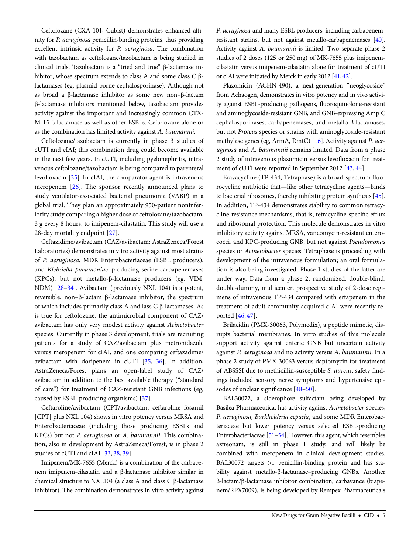Ceftolozane (CXA-101, Cubist) demonstrates enhanced affinity for P. aeruginosa penicillin-binding proteins, thus providing excellent intrinsic activity for P. aeruginosa. The combination with tazobactam as ceftolozane/tazobactam is being studied in clinical trials. Tazobactam is a "tried and true" β-lactamase inhibitor, whose spectrum extends to class A and some class C βlactamases (eg, plasmid-borne cephalosporinase). Although not as broad a β-lactamase inhibitor as some new non–β-lactam β-lactamase inhibitors mentioned below, tazobactam provides activity against the important and increasingly common CTX-M-15 β-lactamase as well as other ESBLs. Ceftolozane alone or as the combination has limited activity against A. baumannii.

Ceftolozane/tazobactam is currently in phase 3 studies of cUTI and cIAI; this combination drug could become available in the next few years. In cUTI, including pyelonephritis, intravenous ceftolozane/tazobactam is being compared to parenteral levofloxacin [\[25](#page-7-0)]. In cIAI, the comparator agent is intravenous meropenem [\[26](#page-7-0)]. The sponsor recently announced plans to study ventilator-associated bacterial pneumonia (VABP) in a global trial. They plan an approximately 950-patient noninferiority study comparing a higher dose of ceftolozane/tazobactam, 3 g every 8 hours, to imipenem-cilastatin. This study will use a 28-day mortality endpoint [\[27](#page-7-0)].

Ceftazidime/avibactam (CAZ/avibactam; AstraZeneca/Forest Laboratories) demonstrates in vitro activity against most strains of P. aeruginosa, MDR Enterobacteriaceae (ESBL producers), and Klebsiella pneumoniae–producing serine carbapenemases (KPCs), but not metallo-β-lactamase producers (eg, VIM, NDM) [\[28](#page-7-0)–[34](#page-7-0)]. Avibactam ( previously NXL 104) is a potent, reversible, non–β-lactam β-lactamase inhibitor, the spectrum of which includes primarily class A and lass C β-lactamases. As is true for ceftolozane, the antimicrobial component of CAZ/ avibactam has only very modest activity against Acinetobacter species. Currently in phase 3 development, trials are recruiting patients for a study of CAZ/avibactam plus metronidazole versus meropenem for cIAI, and one comparing ceftazadime/ avibactam with doripenem in cUTI [\[35](#page-7-0), [36\]](#page-7-0). In addition, AstraZeneca/Forest plans an open-label study of CAZ/ avibactam in addition to the best available therapy ("standard of care") for treatment of CAZ-resistant GNB infections (eg, caused by ESBL-producing organisms) [\[37\]](#page-7-0).

Ceftaroline/avibactam (CPT/avibactam, ceftaroline fosamil [CPT] plus NXL 104) shows in vitro potency versus MRSA and Enterobacteriaceae (including those producing ESBLs and KPCs) but not P. aeruginosa or A. baumannii. This combination, also in development by AstraZeneca/Forest, is in phase 2 studies of cUTI and cIAI [[33,](#page-7-0) [38,](#page-7-0) [39](#page-7-0)].

Imipenem/MK-7655 (Merck) is a combination of the carbapenem imipenem-cilastatin and a β-lactamase inhibitor similar in chemical structure to NXL104 (a class A and class C β-lactamase inhibitor). The combination demonstrates in vitro activity against P. aeruginosa and many ESBL producers, including carbapenemresistant strains, but not against metallo-carbapenemases [\[40\]](#page-8-0). Activity against A. baumannii is limited. Two separate phase 2 studies of 2 doses (125 or 250 mg) of MK-7655 plus imipenemcilastatin versus imipenem-cilastatin alone for treatment of cUTI or cIAI were initiated by Merck in early 2012 [\[41](#page-8-0), [42](#page-8-0)].

Plazomicin (ACHN-490), a next-generation "neoglycoside" from Achaogen, demonstrates in vitro potency and in vivo activity against ESBL-producing pathogens, fluoroquinolone-resistant and aminoglycoside-resistant GNB, and GNB-expressing Amp C cephalosporinases, carbapenemases, and metallo-β-lactamases, but not Proteus species or strains with aminoglycoside-resistant methylase genes (eg, ArmA, RmtC) [[16\]](#page-7-0). Activity against P. aeruginosa and A. baumannii remains limited. Data from a phase 2 study of intravenous plazomicin versus levofloxacin for treatment of cUTI were reported in September 2012 [\[43](#page-8-0), [44\]](#page-8-0).

Eravacycline (TP-434, Tetraphase) is a broad-spectrum fluorocycline antibiotic that—like other tetracycline agents—binds to bacterial ribosomes, thereby inhibiting protein synthesis [\[45\]](#page-8-0). In addition, TP-434 demonstrates stability to common tetracycline-resistance mechanisms, that is, tetracycline-specific efflux and ribosomal protection. This molecule demonstrates in vitro inhibitory activity against MRSA, vancomycin-resistant enterococci, and KPC-producing GNB, but not against Pseudomonas species or Acinetobacter species. Tetraphase is proceeding with development of the intravenous formulation; an oral formulation is also being investigated. Phase 1 studies of the latter are under way. Data from a phase 2, randomized, double-blind, double-dummy, multicenter, prospective study of 2-dose regimens of intravenous TP-434 compared with ertapenem in the treatment of adult community-acquired cIAI were recently reported [\[46](#page-8-0), [47](#page-8-0)].

Brilacidin (PMX-30063, Polymedix), a peptide mimetic, disrupts bacterial membranes. In vitro studies of this molecule support activity against enteric GNB but uncertain activity against P. aeruginosa and no activity versus A. baumannii. In a phase 2 study of PMX-30063 versus daptomycin for treatment of ABSSSI due to methicillin-susceptible S. aureus, safety findings included sensory nerve symptoms and hypertensive episodes of unclear significance [\[48](#page-8-0)–[50](#page-8-0)].

BAL30072, a siderophore sulfactam being developed by Basilea Pharmaceutica, has activity against Acinetobacter species, P. aeruginosa, Burkholderia cepacia, and some MDR Enterobacteriaceae but lower potency versus selected ESBL-producing Enterobacteriaceae [[51](#page-8-0)–[54](#page-8-0)]. However, this agent, which resembles aztreonam, is still in phase 1 study, and will likely be combined with meropenem in clinical development studies. BAL30072 targets >1 penicillin-binding protein and has stability against metallo-β-lactamase–producing GNBs. Another β-lactam/β-lactamase inhibitor combination, carbavance (biapenem/RPX7009), is being developed by Rempex Pharmaceuticals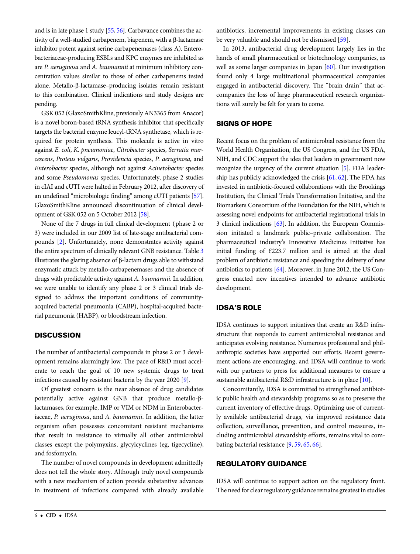and is in late phase 1 study [\[55](#page-8-0), [56\]](#page-8-0). Carbavance combines the activity of a well-studied carbapenem, biapenem, with a β-lactamase inhibitor potent against serine carbapenemases (class A). Enterobacteriaceae-producing ESBLs and KPC enzymes are inhibited as are P. aeruginosa and A. baumannii at minimum inhibitory concentration values similar to those of other carbapenems tested alone. Metallo-β-lactamase–producing isolates remain resistant to this combination. Clinical indications and study designs are pending.

GSK 052 (GlaxoSmithKline, previously AN3365 from Anacor) is a novel boron-based tRNA synthesis inhibitor that specifically targets the bacterial enzyme leucyl-tRNA synthetase, which is required for protein synthesis. This molecule is active in vitro against E. coli, K. pneumoniae, Citrobacter species, Serratia marcescens, Proteus vulgaris, Providencia species, P. aeruginosa, and Enterobacter species, although not against Acinetobacter species and some Pseudomonas species. Unfortunately, phase 2 studies in cIAI and cUTI were halted in February 2012, after discovery of an undefined "microbiologic finding" among cUTI patients [[57\]](#page-8-0). GlaxoSmithKline announced discontinuation of clinical development of GSK 052 on 5 October 2012 [[58\]](#page-8-0).

None of the 7 drugs in full clinical development (phase 2 or 3) were included in our 2009 list of late-stage antibacterial compounds [[2](#page-7-0)]. Unfortunately, none demonstrates activity against the entire spectrum of clinically relevant GNB resistance. Table [3](#page-3-0) illustrates the glaring absence of β-lactam drugs able to withstand enzymatic attack by metallo-carbapenemases and the absence of drugs with predictable activity against A. baumannii. In addition, we were unable to identify any phase 2 or 3 clinical trials designed to address the important conditions of communityacquired bacterial pneumonia (CABP), hospital-acquired bacterial pneumonia (HABP), or bloodstream infection.

## **DISCUSSION**

The number of antibacterial compounds in phase 2 or 3 development remains alarmingly low. The pace of R&D must accelerate to reach the goal of 10 new systemic drugs to treat infections caused by resistant bacteria by the year 2020 [\[9](#page-7-0)].

Of greatest concern is the near absence of drug candidates potentially active against GNB that produce metallo-βlactamases, for example, IMP or VIM or NDM in Enterobacteriaceae, P. aeruginosa, and A. baumannii. In addition, the latter organism often possesses concomitant resistant mechanisms that result in resistance to virtually all other antimicrobial classes except the polymyxins, glycylcyclines (eg, tigecycline), and fosfomycin.

The number of novel compounds in development admittedly does not tell the whole story. Although truly novel compounds with a new mechanism of action provide substantive advances in treatment of infections compared with already available antibiotics, incremental improvements in existing classes can be very valuable and should not be dismissed [[59\]](#page-8-0).

In 2013, antibacterial drug development largely lies in the hands of small pharmaceutical or biotechnology companies, as well as some larger companies in Japan [[60\]](#page-8-0). Our investigation found only 4 large multinational pharmaceutical companies engaged in antibacterial discovery. The "brain drain" that accompanies the loss of large pharmaceutical research organizations will surely be felt for years to come.

#### SIGNS OF HOPE

Recent focus on the problem of antimicrobial resistance from the World Health Organization, the US Congress, and the US FDA, NIH, and CDC support the idea that leaders in government now recognize the urgency of the current situation [[5](#page-7-0)]. FDA leadership has publicly acknowledged the crisis [\[61](#page-8-0), [62](#page-8-0)]. The FDA has invested in antibiotic-focused collaborations with the Brookings Institution, the Clinical Trials Transformation Initiative, and the Biomarkers Consortium of the Foundation for the NIH, which is assessing novel endpoints for antibacterial registrational trials in 3 clinical indications [[63\]](#page-8-0). In addition, the European Commission initiated a landmark public–private collaboration. The pharmaceutical industry's Innovative Medicines Initiative has initial funding of €223.7 million and is aimed at the dual problem of antibiotic resistance and speeding the delivery of new antibiotics to patients [[64\]](#page-8-0). Moreover, in June 2012, the US Congress enacted new incentives intended to advance antibiotic development.

## IDSA'S ROLE

IDSA continues to support initiatives that create an R&D infrastructure that responds to current antimicrobial resistance and anticipates evolving resistance. Numerous professional and philanthropic societies have supported our efforts. Recent government actions are encouraging, and IDSA will continue to work with our partners to press for additional measures to ensure a sustainable antibacterial R&D infrastructure is in place [[10\]](#page-7-0).

Concomitantly, IDSA is committed to strengthened antibiotic public health and stewardship programs so as to preserve the current inventory of effective drugs. Optimizing use of currently available antibacterial drugs, via improved resistance data collection, surveillance, prevention, and control measures, including antimicrobial stewardship efforts, remains vital to combating bacterial resistance [[9](#page-7-0), [59](#page-8-0), [65](#page-8-0), [66\]](#page-8-0).

## REGULATORY GUIDANCE

IDSA will continue to support action on the regulatory front. The need for clear regulatory guidance remains greatest in studies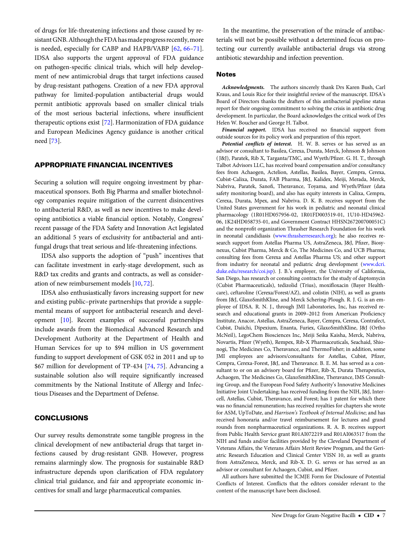of drugs for life-threatening infections and those caused by resistant GNB. Although the FDA has made progress recently, more is needed, especially for CABP and HAPB/VABP [[62,](#page-8-0) [66](#page-8-0)–[71\]](#page-8-0). IDSA also supports the urgent approval of FDA guidance on pathogen-specific clinical trials, which will help development of new antimicrobial drugs that target infections caused by drug-resistant pathogens. Creation of a new FDA approval pathway for limited-population antibacterial drugs would permit antibiotic approvals based on smaller clinical trials of the most serious bacterial infections, where insufficient therapeutic options exist [\[72](#page-8-0)]. Harmonization of FDA guidance and European Medicines Agency guidance is another critical need [\[73\]](#page-8-0).

## APPROPRIATE FINANCIAL INCENTIVES

Securing a solution will require ongoing investment by pharmaceutical sponsors. Both Big Pharma and smaller biotechnology companies require mitigation of the current disincentives to antibacterial R&D, as well as new incentives to make developing antibiotics a viable financial option. Notably, Congress' recent passage of the FDA Safety and Innovation Act legislated an additional 5 years of exclusivity for antibacterial and antifungal drugs that treat serious and life-threatening infections.

IDSA also supports the adoption of "push" incentives that can facilitate investment in early-stage development, such as R&D tax credits and grants and contracts, as well as consideration of new reimbursement models [\[10](#page-7-0), [72](#page-8-0)].

IDSA also enthusiastically favors increasing support for new and existing public–private partnerships that provide a supplemental means of support for antibacterial research and development [[10\]](#page-7-0). Recent examples of successful partnerships include awards from the Biomedical Advanced Research and Development Authority at the Department of Health and Human Services for up to \$94 million in US government funding to support development of GSK 052 in 2011 and up to \$67 million for development of TP-434 [[74](#page-9-0), [75\]](#page-9-0). Advancing a sustainable solution also will require significantly increased commitments by the National Institute of Allergy and Infectious Diseases and the Department of Defense.

#### CONCLUSIONS

Our survey results demonstrate some tangible progress in the clinical development of new antibacterial drugs that target infections caused by drug-resistant GNB. However, progress remains alarmingly slow. The prognosis for sustainable R&D infrastructure depends upon clarification of FDA regulatory clinical trial guidance, and fair and appropriate economic incentives for small and large pharmaceutical companies.

In the meantime, the preservation of the miracle of antibacterials will not be possible without a determined focus on protecting our currently available antibacterial drugs via strong antibiotic stewardship and infection prevention.

#### **Notes**

Acknowledgments. The authors sincerely thank Drs Karen Bush, Carl Kraus, and Louis Rice for their insightful review of the manuscript. IDSA's Board of Directors thanks the drafters of this antibacterial pipeline status report for their ongoing commitment to solving the crisis in antibiotic drug development. In particular, the Board acknowledges the critical work of Drs Helen W. Boucher and George H. Talbot.

Financial support. IDSA has received no financial support from outside sources for its policy work and preparation of this report.

Potential conflicts of interest. H. W. B. serves or has served as an advisor or consultant to Basilea, Cerexa, Durata, Merck, Johnson & Johnson ( J&J), Paratek, Rib X, Targanta/TMC, and Wyeth/Pfizer. G. H. T., through Talbot Advisors LLC, has received board compensation and/or consultancy fees from Achaogen, Actelion, Astellas, Basilea, Bayer, Cempra, Cerexa, Cubist-Calixa, Durata, FAB Pharma, J&J, Kalidex, Meiji, Merada, Merck, Nabriva, Paratek, Sanofi, Theravance, Toyama, and Wyeth/Pfizer (data safety monitoring board), and also has equity interests in Calixa, Cempra, Cerexa, Durata, Mpex, and Nabriva. D. K. B. receives support from the United States government for his work in pediatric and neonatal clinical pharmacology (1R01HD057956-02, 1R01FD003519-01, 1U10-HD45962- 06, 1K24HD058735-01, and Government Contract HHSN267200700051C) and the nonprofit organization Thrasher Research Foundation for his work in neonatal candidiasis (<www.thrasherresearch.org>); he also receives research support from Astellas Pharma US, AstraZeneca, J&J, Pfizer, Biosynexus, Cubist Pharma, Merck & Co, The Medicines Co, and UCB Pharma; consulting fees from Cerexa and Astellas Pharma US; and other support from industry for neonatal and pediatric drug development ([www.dcri.](www.dcri.duke.edu/research/coi.jsp) [duke.edu/research/coi.jsp](www.dcri.duke.edu/research/coi.jsp)). J. B.'s employer, the University of California, San Diego, has research or consulting contracts for the study of daptomycin (Cubist Pharmaceuticals), tedizolid (Trius), moxifloxacin (Bayer Healthcare), ceftaroline (Cerexa/Forest/AZ), and colistin (NIH), as well as grants from J&J, GlaxoSmithKline, and Merck Schering-Plough. R. J. G. is an employee of IDSA. R. N. J., through JMI Laboratories, Inc, has received research and educational grants in 2009–2012 from American Proficiency Institute, Anacor, Astellas, AstraZeneca, Bayer, Cempra, Cerexa, Contrafect, Cubist, Daiichi, Dipexium, Enanta, Furiex, GlaxoSmithKline, J&J (Ortho McNeil), LegoChem Biosciences Inc, Meiji Seika Kaisha, Merck, Nabriva, Novartis, Pfizer (Wyeth), Rempex, Rib-X Pharmaceuticals, Seachaid, Shionogi, The Medicines Co, Theravance, and ThermoFisher; in addition, some JMI employees are advisors/consultants for Astellas, Cubist, Pfizer, Cempra, Cerexa-Forest, J&J, and Theravance. B. E. M. has served as a consultant to or on an advisory board for Pfizer, Rib-X, Durata Therapeutics, Achaogen, The Medicines Co, GlaxoSmithKline, Theravance, IMS Consulting Group, and the European Food Safety Authority's Innovative Medicines Initiative Joint Undertaking; has received funding from the NIH, J&J, Intercell, Astellas, Cubist, Theravance, and Forest; has 1 patent for which there was no financial remuneration; has received royalties for chapters she wrote for ASM, UpToDate, and Harrison's Textbook of Internal Medicine; and has received honoraria and/or travel reimbursement for lectures and grand rounds from nonpharmaceutical organizations. R. A. B. receives support from Public Health Service grant R01AI072219 and R01AI063517 from the NIH and funds and/or facilities provided by the Cleveland Department of Veterans Affairs, the Veterans Affairs Merit Review Program, and the Geriatric Research Education and Clinical Center VISN 10, as well as grants from AstraZeneca, Merck, and Rib-X. D. G. serves or has served as an advisor or consultant for Achaogen, Cubist, and Pfizer.

All authors have submitted the ICMJE Form for Disclosure of Potential Conflicts of Interest. Conflicts that the editors consider relevant to the content of the manuscript have been disclosed.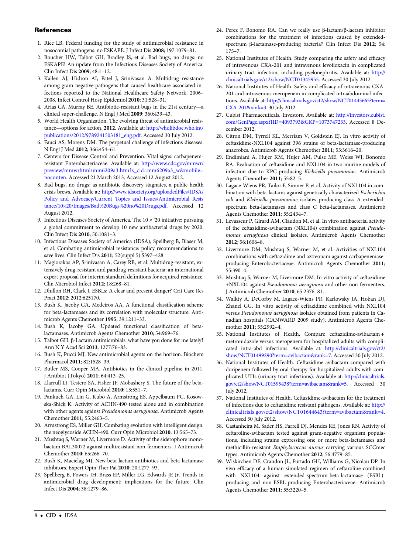#### <span id="page-7-0"></span>**References**

- 1. Rice LB. Federal funding for the study of antimicrobial resistance in nosocomial pathogens: no ESKAPE. J Infect Dis 2008; 197:1079–81.
- 2. Boucher HW, Talbot GH, Bradley JS, et al. Bad bugs, no drugs: no ESKAPE! An update from the Infectious Diseases Society of America. Clin Infect Dis 2009; 48:1–12.
- 3. Kallen AJ, Hidron AI, Patel J, Srinivasan A. Multidrug resistance among gram-negative pathogens that caused healthcare-associated infections reported to the National Healthcare Safety Network, 2006– 2008. Infect Control Hosp Epidemiol 2010; 31:528–31.
- 4. Arias CA, Murray BE. Antibiotic-resistant bugs in the 21st century—a clinical super-challenge. N Engl J Med 2009; 360:439–43.
- 5. World Health Organization. The evolving threat of antimicrobial resistance—options for action, 2012. Available at: [http://whqlibdoc.who.int/](http://whqlibdoc.who.int/publications/2012/9789241503181_eng.pdf) [publications/2012/9789241503181\\_eng.pdf.](http://whqlibdoc.who.int/publications/2012/9789241503181_eng.pdf) Accessed 30 July 2012.
- 6. Fauci AS, Morens DM. The perpetual challenge of infectious diseases. N Engl J Med 2012; 366:454–61.
- 7. Centers for Disease Control and Prevention. Vital signs: carbapenemresistant Enterobacteriaceae. Available at: [http://www.cdc.gov/mmwr/](http://www.cdc.gov/mmwr/preview/mmwrhtml/mm6209a3.htm?s_cid=mm6209a3_w&mobile=noconten) [preview/mmwrhtml/mm6209a3.htm?s\\_cid=mm6209a3\\_w&mobile=](http://www.cdc.gov/mmwr/preview/mmwrhtml/mm6209a3.htm?s_cid=mm6209a3_w&mobile=noconten) [noconten.](http://www.cdc.gov/mmwr/preview/mmwrhtml/mm6209a3.htm?s_cid=mm6209a3_w&mobile=noconten) Accessed 21 March 2013. Accessed 12 August 2012.
- 8. Bad bugs, no drugs: as antibiotic discovery stagnates, a public health crisis brews. Available at: [http://www.idsociety.org/uploadedFiles/IDSA/](http://www.idsociety.org/uploadedFiles/IDSA/Policy_and_Advocacy/Current_Topics_and_Issues/Antimicrobial_Resistance/10×20/Images/Bad%20Bugs%20no%20Drugs.pdf) [Policy\\_and\\_Advocacy/Current\\_Topics\\_and\\_Issues/Antimicrobial\\_Resis](http://www.idsociety.org/uploadedFiles/IDSA/Policy_and_Advocacy/Current_Topics_and_Issues/Antimicrobial_Resistance/10×20/Images/Bad%20Bugs%20no%20Drugs.pdf) [tance/10×20/Images/Bad%20Bugs%20no%20Drugs.pdf.](http://www.idsociety.org/uploadedFiles/IDSA/Policy_and_Advocacy/Current_Topics_and_Issues/Antimicrobial_Resistance/10×20/Images/Bad%20Bugs%20no%20Drugs.pdf) Accessed 12 August 2012.
- 9. Infectious Diseases Society of America. The  $10 \times 20$  initiative: pursuing a global commitment to develop 10 new antibacterial drugs by 2020. Clin Infect Dis 2010; 50:1081–3.
- 10. Infectious Diseases Society of America (IDSA); Spellberg B, Blaser M, et al. Combating antimicrobial resistance: policy recommendations to save lives. Clin Infect Dis 2011; 52(suppl 5):S397–428.
- 11. Magiorakos AP, Srinivasan A, Carey RB, et al. Multidrug-resistant, extensively drug-resistant and pandrug-resistant bacteria: an international expert proposal for interim standard definitions for acquired resistance. Clin Microbiol Infect 2012; 18:268–81.
- 12. Dhillon RH, Clark J. ESBLs: A clear and present danger? Crit Care Res Pract 2012; 2012:625170.
- 13. Bush K, Jacoby GA, Medeiros AA. A functional classification scheme for beta-lactamases and its correlation with molecular structure. Antimicrob Agents Chemother 1995; 39:1211–33.
- 14. Bush K, Jacoby GA. Updated functional classification of betalactamases. Antimicrob Agents Chemother 2010; 54:969–76.
- 15. Talbot GH. β-Lactam antimicrobials: what have you done for me lately? Ann N Y Acad Sci 2013; 1277:76–83.
- 16. Bush K, Pucci MJ. New antimicrobial agents on the horizon. Biochem Pharmacol 2011; 82:1528–39.
- 17. Butler MS, Cooper MA. Antibiotics in the clinical pipeline in 2011. J Antibiot (Tokyo) 2011; 64:413–25.
- 18. Llarrull LI, Testero SA, Fisher JF, Mobashery S. The future of the betalactams. Curr Opin Microbiol 2010; 13:551–7.
- 19. Pankuch GA, Lin G, Kubo A, Armstrong ES, Appelbaum PC, Kosowska-Shick K. Activity of ACHN-490 tested alone and in combination with other agents against Pseudomonas aeruginosa. Antimicrob Agents Chemother 2011; 55:2463–5.
- 20. Armstrong ES, Miller GH. Combating evolution with intelligent design: the neoglycoside ACHN-490. Curr Opin Microbiol 2010; 13:565–73.
- 21. Mushtaq S, Warner M, Livermore D. Activity of the siderophore monobactam BAL30072 against multiresistant non-fermenters. J Antimicrob Chemother 2010; 65:266–70.
- 22. Bush K, Macielag MJ. New beta-lactam antibiotics and beta-lactamase inhibitors. Expert Opin Ther Pat 2010; 20:1277–93.
- 23. Spellberg B, Powers JH, Brass EP, Miller LG, Edwards JE Jr. Trends in antimicrobial drug development: implications for the future. Clin Infect Dis 2004; 38:1279–86.
- 24. Perez F, Bonomo RA. Can we really use β-lactam/β-lactam inhibitor combinations for the treatment of infections caused by extendedspectrum β-lactamase-producing bacteria? Clin Infect Dis 2012; 54: 175–7.
- 25. National Institutes of Health. Study comparing the safety and efficacy of intravenous CXA-201 and intravenous levofloxacin in complicated urinary tract infection, including pyelonephritis. Available at: [http://](http://clinicaltrials.gov/ct2/show/NCT01345955) [clinicaltrials.gov/ct2/show/NCT01345955.](http://clinicaltrials.gov/ct2/show/NCT01345955) Accessed 30 July 2012.
- 26. National Institutes of Health. Safety and efficacy of intravenous CXA-201 and intravenous meropenem in complicated intraabdominal infections. Available at: [http://clinicaltrials.gov/ct2/show/NCT01445665?term=](http://clinicaltrials.gov/ct2/show/NCT01445665?term=CXA-201&rank=3) [CXA-201&rank=3](http://clinicaltrials.gov/ct2/show/NCT01445665?term=CXA-201&rank=3). 30 July 2012.
- 27. Cubist Pharmaceuticals. Investors. Available at: [http://investors.cubist.](http://investors.cubist.com/GenPage.aspx?IID=4093793&GKP=1073747233) [com/GenPage.aspx?IID=4093793&GKP=1073747233](http://investors.cubist.com/GenPage.aspx?IID=4093793&GKP=1073747233). Accessed 8 December 2012.
- 28. Citron DM, Tyrrell KL, Merriam V, Goldstein EJ. In vitro activity of ceftazidime-NXL104 against 396 strains of beta-lactamase-producing anaerobes. Antimicrob Agents Chemother 2011; 55:3616–20.
- 29. Endimiani A, Hujer KM, Hujer AM, Pulse ME, Weiss WJ, Bonomo RA. Evaluation of ceftazidime and NXL104 in two murine models of infection due to KPC-producing Klebsiella pneumoniae. Antimicrob Agents Chemother 2011; 55:82–5.
- 30. Lagace-Wiens PR, Tailor F, Simner P, et al. Activity of NXL104 in combination with beta-lactams against genetically characterized Escherichia coli and Klebsiella pneumoniae isolates producing class A extendedspectrum beta-lactamases and class C beta-lactamases. Antimicrob Agents Chemother 2011; 55:2434–7.
- 31. Levasseur P, Girard AM, Claudon M, et al. In vitro antibacterial activity of the ceftazidime-avibactam (NXL104) combination against Pseudomonas aeruginosa clinical isolates. Antimicrob Agents Chemother 2012; 56:1606–8.
- 32. Livermore DM, Mushtaq S, Warner M, et al. Activities of NXL104 combinations with ceftazidime and aztreonam against carbapenemaseproducing Enterobacteriaceae. Antimicrob Agents Chemother 2011; 55:390–4.
- 33. Mushtaq S, Warner M, Livermore DM. In vitro activity of ceftazidime +NXL104 against Pseudomonas aeruginosa and other non-fermenters. J Antimicrob Chemother 2010; 65:2376–81.
- 34. Walkty A, DeCorby M, Lagace-Wiens PR, Karlowsky JA, Hoban DJ, Zhanel GG. In vitro activity of ceftazidime combined with NXL104 versus Pseudomonas aeruginosa isolates obtained from patients in Canadian hospitals (CANWARD 2009 study). Antimicrob Agents Chemother 2011; 55:2992–4.
- 35. National Institutes of Health. Compare ceftazidime-avibactam + metronidazole versus meropenem for hospitalized adults with complicated intra-abd infections. Available at: [http://clinicaltrials.gov/ct2/](http://clinicaltrials.gov/ct2/show/NCT01499290?term=avibactam&rank=7) [show/NCT01499290?term=avibactam&rank=7](http://clinicaltrials.gov/ct2/show/NCT01499290?term=avibactam&rank=7). Accessed 30 July 2012.
- 36. National Institutes of Health. Ceftazidime-avibactam compared with doripenem followed by oral therapy for hospitalized adults with complicated UTIs (urinary tract infections). Available at: [http://clinicaltrials.](http://clinicaltrials.gov/ct2/show/NCT01595438?term=avibactam&rank=5) [gov/ct2/show/NCT01595438?term=avibactam&rank=5](http://clinicaltrials.gov/ct2/show/NCT01595438?term=avibactam&rank=5). Accessed 30 July 2012.
- 37. National Institutes of Health. Ceftazidime-avibactam for the treatment of infections due to ceftazidime resistant pathogens. Available at: [http://](http://clinicaltrials.gov/ct2/show/NCT01644643?term=avibactam&rank=4) [clinicaltrials.gov/ct2/show/NCT01644643?term=avibactam&rank=4.](http://clinicaltrials.gov/ct2/show/NCT01644643?term=avibactam&rank=4) Accessed 30 July 2012.
- 38. Castanheira M, Sader HS, Farrell DJ, Mendes RE, Jones RN. Activity of ceftaroline-avibactam tested against gram-negative organism populations, including strains expressing one or more beta-lactamases and methicillin-resistant Staphylococcus aureus carrying various SCCmec types. Antimicrob Agents Chemother 2012; 56:4779–85.
- 39. Wiskirchen DE, Crandon JL, Furtado GH, Williams G, Nicolau DP. In vivo efficacy of a human-simulated regimen of ceftaroline combined with NXL104 against extended-spectrum-beta-lactamase (ESBL) producing and non-ESBL-producing Enterobacteriaceae. Antimicrob Agents Chemother 2011; 55:3220–5.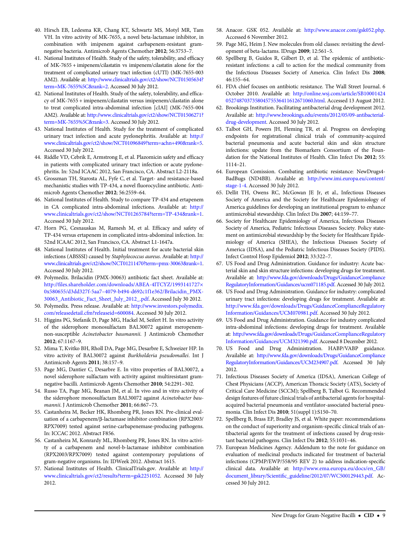- <span id="page-8-0"></span>40. Hirsch EB, Ledesma KR, Chang KT, Schwartz MS, Motyl MR, Tam VH. In vitro activity of MK-7655, a novel beta-lactamase inhibitor, in combination with imipenem against carbapenem-resistant gramnegative bacteria. Antimicrob Agents Chemother 2012; 56:3753–7.
- 41. National Institutes of Health. Study of the safety, tolerability, and efficacy of MK-7655 + imipenem/cilastatin vs imipenem/cilastatin alone for the treatment of complicated urinary tract infection (cUTI) (MK-7655-003 AM2). Available at: [http://www.clinicaltrials.gov/ct2/show/NCT01505634?](http://www.clinicaltrials.gov/ct2/show/NCT01505634?term=MK-7655%5C&rank=2) [term=MK-7655%5C&rank=2.](http://www.clinicaltrials.gov/ct2/show/NCT01505634?term=MK-7655%5C&rank=2) Accessed 30 July 2012.
- 42. National Institutes of Health. Study of the safety, tolerability, and efficacy of MK-7655 + imipenem/cilastatin versus imipenem/cilastatin alone to treat complicated intra-abdominal infection [cIAI] (MK-7655-004 AM2). Available at: [http://www.clinicaltrials.gov/ct2/show/NCT01506271?](http://www.clinicaltrials.gov/ct2/show/NCT01506271?term=MK-7655%5C&rank=3) [term=MK-7655%5C&rank=3](http://www.clinicaltrials.gov/ct2/show/NCT01506271?term=MK-7655%5C&rank=3). Accessed 30 July 2012.
- 43. National Institutes of Health. Study for the treatment of complicated urinary tract infection and acute pyelonephritis. Available at: [http://](http://www.clinicaltrials.gov/ct2/show/NCT01096849?term=achn+490&rank=5) [www.clinicaltrials.gov/ct2/show/NCT01096849?term=achn+490&rank=5.](http://www.clinicaltrials.gov/ct2/show/NCT01096849?term=achn+490&rank=5) Accessed 30 July 2012.
- 44. Riddle VD, Cebrik E, Armstrong E, et al. Plazomicin safety and efficacy in patients with complicated urinary tract infection or acute pyelonephritis. In: 52nd ICAAC 2012, San Francisco, CA. Abstract L2-2118a.
- 45. Grossman TH, Starosta AL, Fyfe C, et al. Target- and resistance-based mechanistic studies with TP-434, a novel fluorocycline antibiotic. Antimicrob Agents Chemother 2012; 56:2559–64.
- 46. National Institutes of Health. Study to compare TP-434 and ertapenem in CA complicated intra-abdominal infections. Available at: [http://](http://www.clinicaltrials.gov/ct2/show/NCT01265784?term=TP-434&rank=1) [www.clinicaltrials.gov/ct2/show/NCT01265784?term=TP-434&rank=1.](http://www.clinicaltrials.gov/ct2/show/NCT01265784?term=TP-434&rank=1) Accessed 30 July 2012.
- 47. Horn PG, Cesnauskas M, Ramesh M, et al. Efficacy and safety of TP-434 versus ertapenem in complicated intra-abdominal infection. In: 52nd ICAAC 2012, San Francisco, CA. Abstract L1-1647a.
- 48. National Institutes of Health. Initial treatment for acute bacterial skin infections (ABSSSI) caused by Staphylococcus aureus. Available at: [http://](http://www.clinicaltrials.gov/ct2/show/NCT01211470?term=pmx-30063&rank=1) [www.clinicaltrials.gov/ct2/show/NCT01211470?term=pmx-30063&rank=1](http://www.clinicaltrials.gov/ct2/show/NCT01211470?term=pmx-30063&rank=1). Accessed 30 July 2012.
- 49. Polymedix. Brilacidin (PMX-30063) antibiotic fact sheet. Available at: [http://](http://files.shareholder.com/downloads/ABEA-4ITCYZ/1993141727×0x580655/d3dd327f-5aa7–4079-b494-d692c1f1e362/Brilacidin_PMX-30063_Antibiotic_Fact_Sheet_July_2012_.pdf)fi[les.shareholder.com/downloads/ABEA-4ITCYZ/1993141727×](http://files.shareholder.com/downloads/ABEA-4ITCYZ/1993141727×0x580655/d3dd327f-5aa7–4079-b494-d692c1f1e362/Brilacidin_PMX-30063_Antibiotic_Fact_Sheet_July_2012_.pdf) 0x580655/d3dd327f-5aa7–[4079-b494-d692c1f1e362/Brilacidin\\_PMX-](http://files.shareholder.com/downloads/ABEA-4ITCYZ/1993141727×0x580655/d3dd327f-5aa7–4079-b494-d692c1f1e362/Brilacidin_PMX-30063_Antibiotic_Fact_Sheet_July_2012_.pdf)[30063\\_Antibiotic\\_Fact\\_Sheet\\_July\\_2012\\_.pdf](http://files.shareholder.com/downloads/ABEA-4ITCYZ/1993141727×0x580655/d3dd327f-5aa7–4079-b494-d692c1f1e362/Brilacidin_PMX-30063_Antibiotic_Fact_Sheet_July_2012_.pdf). Accessed July 30 2012.
- 50. Polymedix. Press release. Available at: [http://www.investors.polymedix.](http://www.investors.polymedix.com/releasedetail.cfm?releaseid=600084) [com/releasedetail.cfm?releaseid=600084.](http://www.investors.polymedix.com/releasedetail.cfm?releaseid=600084) Accessed 30 July 2012.
- 51. Higgins PG, Stefanik D, Page MG, Hackel M, Seifert H. In vitro activity of the siderophore monosulfactam BAL30072 against meropenemnon-susceptible Acinetobacter baumannii. J Antimicrob Chemother 2012; 67:1167–9.
- 52. Mima T, Kvitko BH, Rholl DA, Page MG, Desarbre E, Schweizer HP. In vitro activity of BAL30072 against Burkholderia pseudomallei. Int J Antimicrob Agents 2011; 38:157–9.
- 53. Page MG, Dantier C, Desarbre E. In vitro properties of BAL30072, a novel siderophore sulfactam with activity against multiresistant gramnegative bacilli. Antimicrob Agents Chemother 2010; 54:2291–302.
- 54. Russo TA, Page MG, Beanan JM, et al. In vivo and in vitro activity of the siderophore monosulfactam BAL30072 against Acinetobacter baumannii. J Antimicrob Chemother 2011; 66:867–73.
- 55. Castanheira M, Becker HK, Rhomberg PR, Jones RN. Pre-clinical evaluation of a carbapenem/β-lactamase inhibitor combination (RPX2003/ RPX7009) tested against serine-carbapenemase-producing pathogens. In: ICCAC 2012. Abstract F856.
- 56. Castanheira M, Konrardy ML, Rhomberg PR, Jones RN. In vitro activity of a carbapenem and novel-b-lactamase inhibitor combination (RPX2003/RPX7009) tested against contemporary populations of gram-negative organisms. In: IDWeek 2012. Abstract 1615.
- 57. National Institutes of Health. ClinicalTrials.gov. Available at: [http://](http://www.clinicaltrials.gov/ct2/results?term=gsk2251052) [www.clinicaltrials.gov/ct2/results?term=gsk2251052](http://www.clinicaltrials.gov/ct2/results?term=gsk2251052). Accessed 30 July 2012.
- 58. Anacor. GSK 052. Available at: <http://www.anacor.com/gsk052.php>. Accessed 6 November 2012.
- 59. Page MG, Heim J. New molecules from old classes: revisiting the development of beta-lactams. IDrugs 2009; 12:561–5.
- 60. Spellberg B, Guidos R, Gilbert D, et al. The epidemic of antibioticresistant infections: a call to action for the medical community from the Infectious Diseases Society of America. Clin Infect Dis 2008; 46:155–64.
- 61. FDA chief focuses on antibiotic resistance. The Wall Street Journal. 6 October 2010. Available at: [http://online.wsj.com/article/SB10001424](http://online.wsj.com/article/SB10001424052748703735804575536411612671060.html) [052748703735804575536411612671060.html](http://online.wsj.com/article/SB10001424052748703735804575536411612671060.html). Accessed 13 August 2012.
- 62. Brookings Institution. Facilitating antibacterial drug development 2012. Available at: [http://www.brookings.edu/events/2012/05/09-antibacterial](http://www.brookings.edu/events/2012/05/09-antibacterial-drug-development)[drug-development.](http://www.brookings.edu/events/2012/05/09-antibacterial-drug-development) Accessed 30 July 2012.
- 63. Talbot GH, Powers JH, Fleming TR, et al. Progress on developing endpoints for registrational clinical trials of community-acquired bacterial pneumonia and acute bacterial skin and skin structure infections: update from the Biomarkers Consortium of the Foundation for the National Institutes of Health. Clin Infect Dis 2012; 55: 1114–21.
- 64. European Comission. Combating antibiotic resistance: NewDrugs4- BadBugs (ND4BB). Available at: [http://www.imi.europa.eu/content/](http://www.imi.europa.eu/content/stage-1-4) [stage-1-4](http://www.imi.europa.eu/content/stage-1-4). Accessed 30 July 2012.
- 65. Dellit TH, Owens RC, McGowan JE Jr, et al., Infectious Diseases Society of America and the Society for Healthcare Epidemiology of America guidelines for developing an institutional program to enhance antimicrobial stewardship. Clin Infect Dis 2007; 44:159–77.
- 66. Society for Healthcare Epidemiology of America, Infectious Diseases Society of America, Pediatric Infectious Diseases Society. Policy statement on antimicrobial stewardship by the Society for Healthcare Epidemiology of America (SHEA), the Infectious Diseases Society of America (IDSA), and the Pediatric Infectious Diseases Society (PIDS). Infect Control Hosp Epidemiol 2012; 33:322–7.
- 67. US Food and Drug Administration. Guidance for industry: Acute bacterial skin and skin structure infections: developing drugs for treatment. Available at: [http://www.fda.gov/downloads/Drugs/GuidanceCompliance](http://www.fda.gov/downloads/Drugs/GuidanceComplianceRegulatoryInformation/Guidances/ucm071185.pdf) [RegulatoryInformation/Guidances/ucm071185.pdf.](http://www.fda.gov/downloads/Drugs/GuidanceComplianceRegulatoryInformation/Guidances/ucm071185.pdf) Accessed 30 July 2012.
- 68. US Food and Drug Administration. Guidance for industry: complicated urinary tract infections: developing drugs for treatment. Available at: [http://www.fda.gov/downloads/Drugs/GuidanceComplianceRegulatory](http://www.fda.gov/downloads/Drugs/GuidanceComplianceRegulatoryInformation/Guidances/UCM070981.pdf) [Information/Guidances/UCM070981.pdf.](http://www.fda.gov/downloads/Drugs/GuidanceComplianceRegulatoryInformation/Guidances/UCM070981.pdf) Accessed 30 July 2012.
- 69. US Food and Drug Administration. Guidance for industry complicated intra-abdominal infections: developing drugs for treatment. Available at: [http://www.fda.gov/downloads/Drugs/GuidanceComplianceRegulatory](http://www.fda.gov/downloads/Drugs/GuidanceComplianceRegulatoryInformation/Guidances/UCM321390.pdf) [Information/Guidances/UCM321390.pdf](http://www.fda.gov/downloads/Drugs/GuidanceComplianceRegulatoryInformation/Guidances/UCM321390.pdf). Accessed 8 December 2012.
- 70. US Food and Drug Administration. HABP/VABP guidance. Available at: [http://www.fda.gov/downloads/Drugs/GuidanceCompliance](http://www.fda.gov/downloads/Drugs/GuidanceComplianceRegulatoryInformation/Guidances/UCM234907.pdf) [RegulatoryInformation/Guidances/UCM234907.pdf](http://www.fda.gov/downloads/Drugs/GuidanceComplianceRegulatoryInformation/Guidances/UCM234907.pdf). Accessed 30 July 2012.
- 71. Infectious Diseases Society of America (IDSA), American College of Chest Physicians (ACCP), American Thoracic Society (ATS), Society of Critical Care Medicine (SCCM); Spellberg B, Talbot G. Recommended design features of future clinical trials of antibacterial agents for hospitalacquired bacterial pneumonia and ventilator-associated bacterial pneumonia. Clin Infect Dis 2010; 51(suppl 1):S150–70.
- 72. Spellberg B, Brass EP, Bradley JS, et al. White paper: recommendations on the conduct of superiority and organism-specific clinical trials of antibacterial agents for the treatment of infections caused by drug-resistant bacterial pathogens. Clin Infect Dis 2012; 55:1031–46.
- 73. European Medicines Agency. Addendum to the note for guidance on evaluation of medicinal products indicated for treatment of bacterial infections (CPMP/EWP/558/95 REV 2) to address indication-specific clinical data. Available at: [http://www.ema.europa.eu/docs/en\\_GB/](http://www.ema.europa.eu/docs/en_GB/document_library/Scientific_guideline/2012/07/WC500129443.pdf) document\_library/Scientifi[c\\_guideline/2012/07/WC500129443.pdf](http://www.ema.europa.eu/docs/en_GB/document_library/Scientific_guideline/2012/07/WC500129443.pdf). Accessed 30 July 2012.